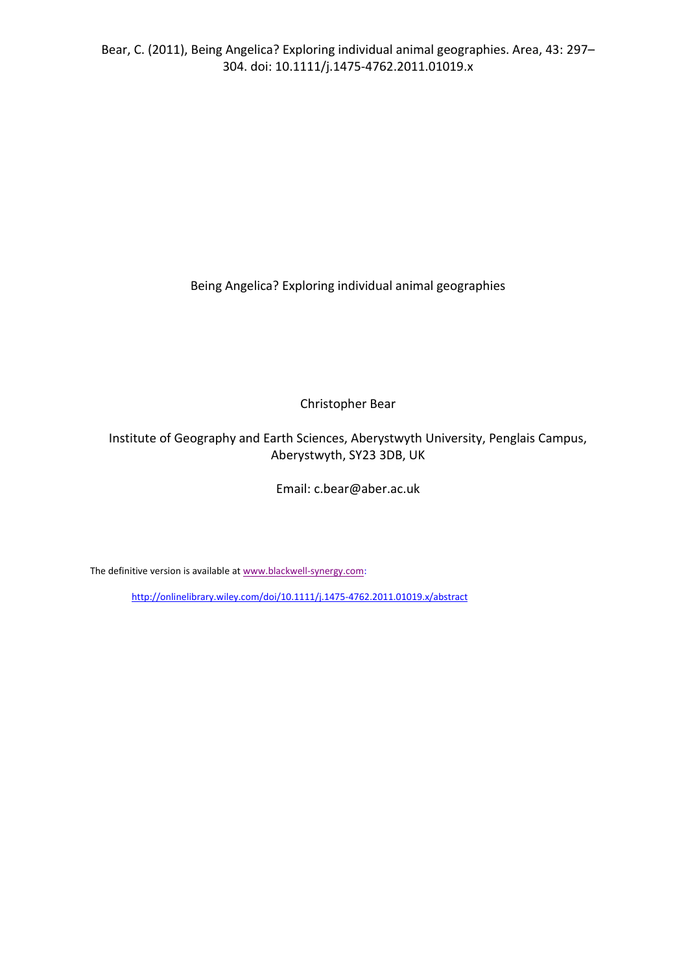Being Angelica? Exploring individual animal geographies

Christopher Bear

Institute of Geography and Earth Sciences, Aberystwyth University, Penglais Campus, Aberystwyth, SY23 3DB, UK

Email: c.bear@aber.ac.uk

The definitive version is available a[t www.blackwell-synergy.com:](http://www.blackwell-synergy.com/)

<http://onlinelibrary.wiley.com/doi/10.1111/j.1475-4762.2011.01019.x/abstract>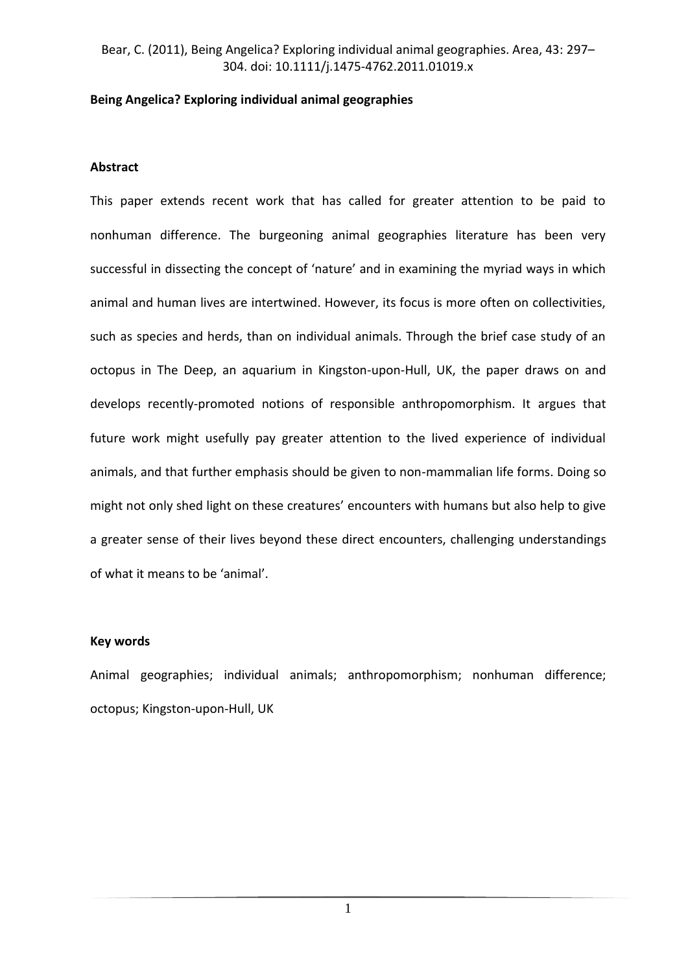## **Being Angelica? Exploring individual animal geographies**

### **Abstract**

This paper extends recent work that has called for greater attention to be paid to nonhuman difference. The burgeoning animal geographies literature has been very successful in dissecting the concept of 'nature' and in examining the myriad ways in which animal and human lives are intertwined. However, its focus is more often on collectivities, such as species and herds, than on individual animals. Through the brief case study of an octopus in The Deep, an aquarium in Kingston-upon-Hull, UK, the paper draws on and develops recently-promoted notions of responsible anthropomorphism. It argues that future work might usefully pay greater attention to the lived experience of individual animals, and that further emphasis should be given to non-mammalian life forms. Doing so might not only shed light on these creatures' encounters with humans but also help to give a greater sense of their lives beyond these direct encounters, challenging understandings of what it means to be 'animal'.

#### **Key words**

Animal geographies; individual animals; anthropomorphism; nonhuman difference; octopus; Kingston-upon-Hull, UK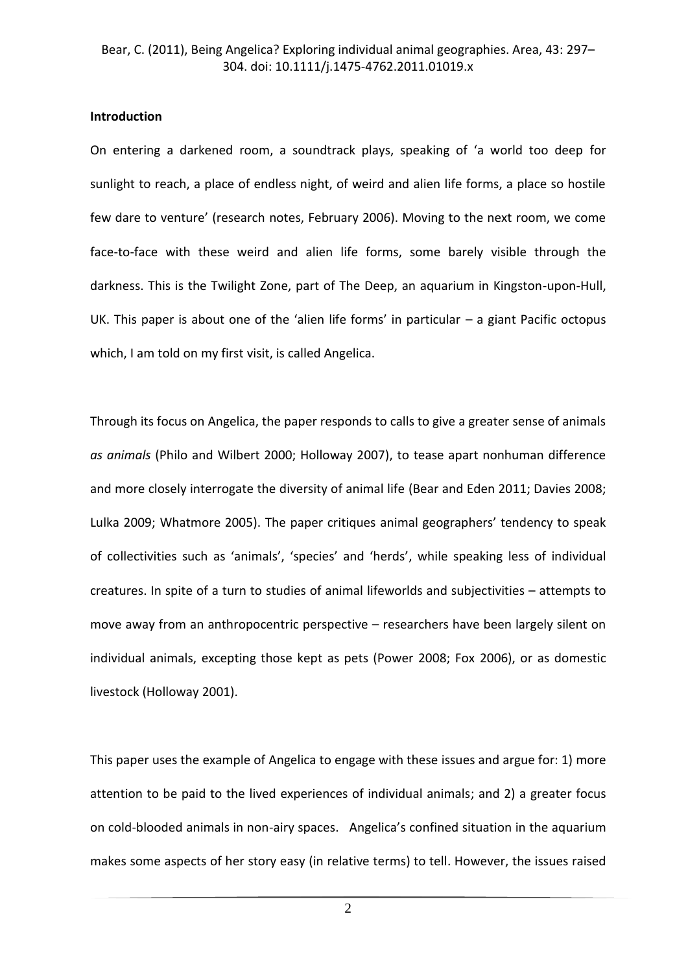#### **Introduction**

On entering a darkened room, a soundtrack plays, speaking of 'a world too deep for sunlight to reach, a place of endless night, of weird and alien life forms, a place so hostile few dare to venture' (research notes, February 2006). Moving to the next room, we come face-to-face with these weird and alien life forms, some barely visible through the darkness. This is the Twilight Zone, part of The Deep, an aquarium in Kingston-upon-Hull, UK. This paper is about one of the 'alien life forms' in particular – a giant Pacific octopus which, I am told on my first visit, is called Angelica.

Through its focus on Angelica, the paper responds to calls to give a greater sense of animals *as animals* (Philo and Wilbert 2000; Holloway 2007), to tease apart nonhuman difference and more closely interrogate the diversity of animal life (Bear and Eden 2011; Davies 2008; Lulka 2009; Whatmore 2005). The paper critiques animal geographers' tendency to speak of collectivities such as 'animals', 'species' and 'herds', while speaking less of individual creatures. In spite of a turn to studies of animal lifeworlds and subjectivities – attempts to move away from an anthropocentric perspective – researchers have been largely silent on individual animals, excepting those kept as pets (Power 2008; Fox 2006), or as domestic livestock (Holloway 2001).

This paper uses the example of Angelica to engage with these issues and argue for: 1) more attention to be paid to the lived experiences of individual animals; and 2) a greater focus on cold-blooded animals in non-airy spaces. Angelica's confined situation in the aquarium makes some aspects of her story easy (in relative terms) to tell. However, the issues raised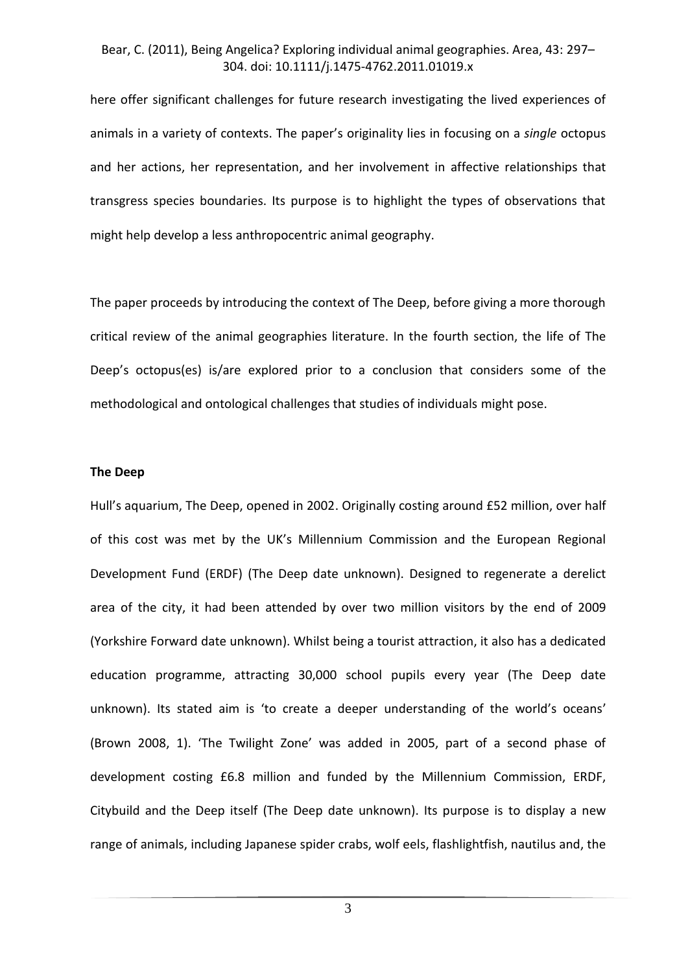here offer significant challenges for future research investigating the lived experiences of animals in a variety of contexts. The paper's originality lies in focusing on a *single* octopus and her actions, her representation, and her involvement in affective relationships that transgress species boundaries. Its purpose is to highlight the types of observations that might help develop a less anthropocentric animal geography.

The paper proceeds by introducing the context of The Deep, before giving a more thorough critical review of the animal geographies literature. In the fourth section, the life of The Deep's octopus(es) is/are explored prior to a conclusion that considers some of the methodological and ontological challenges that studies of individuals might pose.

#### **The Deep**

Hull's aquarium, The Deep, opened in 2002. Originally costing around £52 million, over half of this cost was met by the UK's Millennium Commission and the European Regional Development Fund (ERDF) (The Deep date unknown). Designed to regenerate a derelict area of the city, it had been attended by over two million visitors by the end of 2009 (Yorkshire Forward date unknown). Whilst being a tourist attraction, it also has a dedicated education programme, attracting 30,000 school pupils every year (The Deep date unknown). Its stated aim is 'to create a deeper understanding of the world's oceans' (Brown 2008, 1). 'The Twilight Zone' was added in 2005, part of a second phase of development costing £6.8 million and funded by the Millennium Commission, ERDF, Citybuild and the Deep itself (The Deep date unknown). Its purpose is to display a new range of animals, including Japanese spider crabs, wolf eels, flashlightfish, nautilus and, the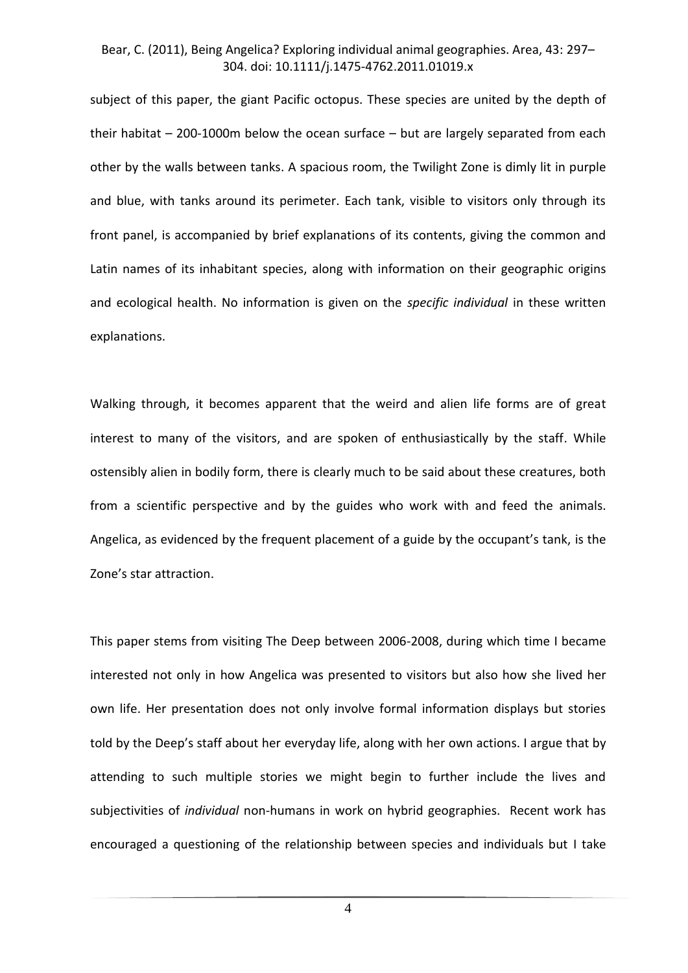subject of this paper, the giant Pacific octopus. These species are united by the depth of their habitat  $-200-1000$ m below the ocean surface  $-$  but are largely separated from each other by the walls between tanks. A spacious room, the Twilight Zone is dimly lit in purple and blue, with tanks around its perimeter. Each tank, visible to visitors only through its front panel, is accompanied by brief explanations of its contents, giving the common and Latin names of its inhabitant species, along with information on their geographic origins and ecological health. No information is given on the *specific individual* in these written explanations.

Walking through, it becomes apparent that the weird and alien life forms are of great interest to many of the visitors, and are spoken of enthusiastically by the staff. While ostensibly alien in bodily form, there is clearly much to be said about these creatures, both from a scientific perspective and by the guides who work with and feed the animals. Angelica, as evidenced by the frequent placement of a guide by the occupant's tank, is the Zone's star attraction.

This paper stems from visiting The Deep between 2006-2008, during which time I became interested not only in how Angelica was presented to visitors but also how she lived her own life. Her presentation does not only involve formal information displays but stories told by the Deep's staff about her everyday life, along with her own actions. I argue that by attending to such multiple stories we might begin to further include the lives and subjectivities of *individual* non-humans in work on hybrid geographies. Recent work has encouraged a questioning of the relationship between species and individuals but I take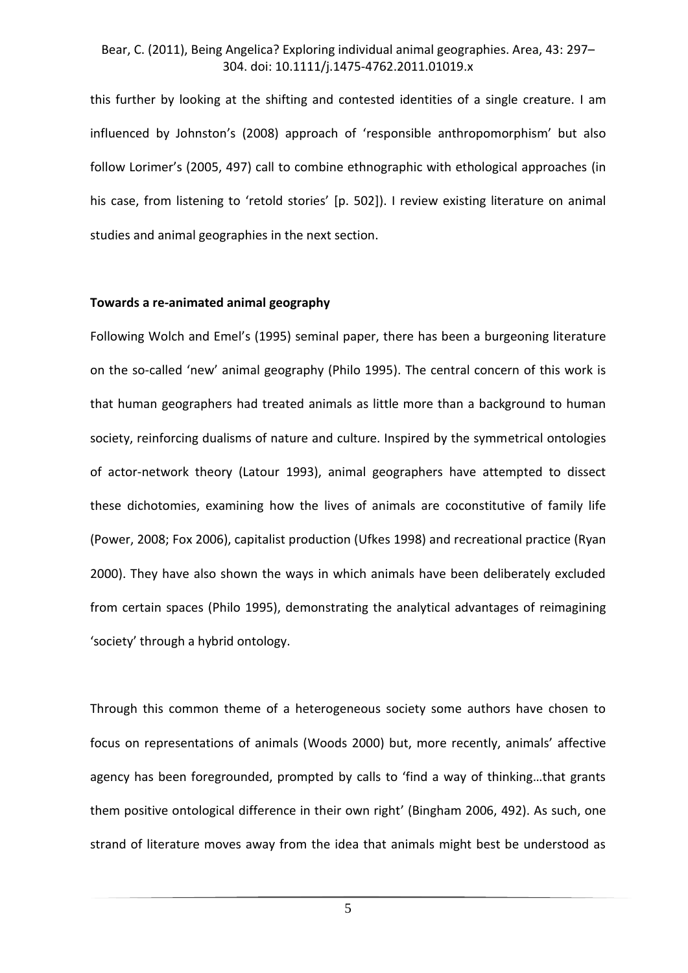this further by looking at the shifting and contested identities of a single creature. I am influenced by Johnston's (2008) approach of 'responsible anthropomorphism' but also follow Lorimer's (2005, 497) call to combine ethnographic with ethological approaches (in his case, from listening to 'retold stories' [p. 502]). I review existing literature on animal studies and animal geographies in the next section.

#### **Towards a re-animated animal geography**

Following Wolch and Emel's (1995) seminal paper, there has been a burgeoning literature on the so-called 'new' animal geography (Philo 1995). The central concern of this work is that human geographers had treated animals as little more than a background to human society, reinforcing dualisms of nature and culture. Inspired by the symmetrical ontologies of actor-network theory (Latour 1993), animal geographers have attempted to dissect these dichotomies, examining how the lives of animals are coconstitutive of family life (Power, 2008; Fox 2006), capitalist production (Ufkes 1998) and recreational practice (Ryan 2000). They have also shown the ways in which animals have been deliberately excluded from certain spaces (Philo 1995), demonstrating the analytical advantages of reimagining 'society' through a hybrid ontology.

Through this common theme of a heterogeneous society some authors have chosen to focus on representations of animals (Woods 2000) but, more recently, animals' affective agency has been foregrounded, prompted by calls to 'find a way of thinking…that grants them positive ontological difference in their own right' (Bingham 2006, 492). As such, one strand of literature moves away from the idea that animals might best be understood as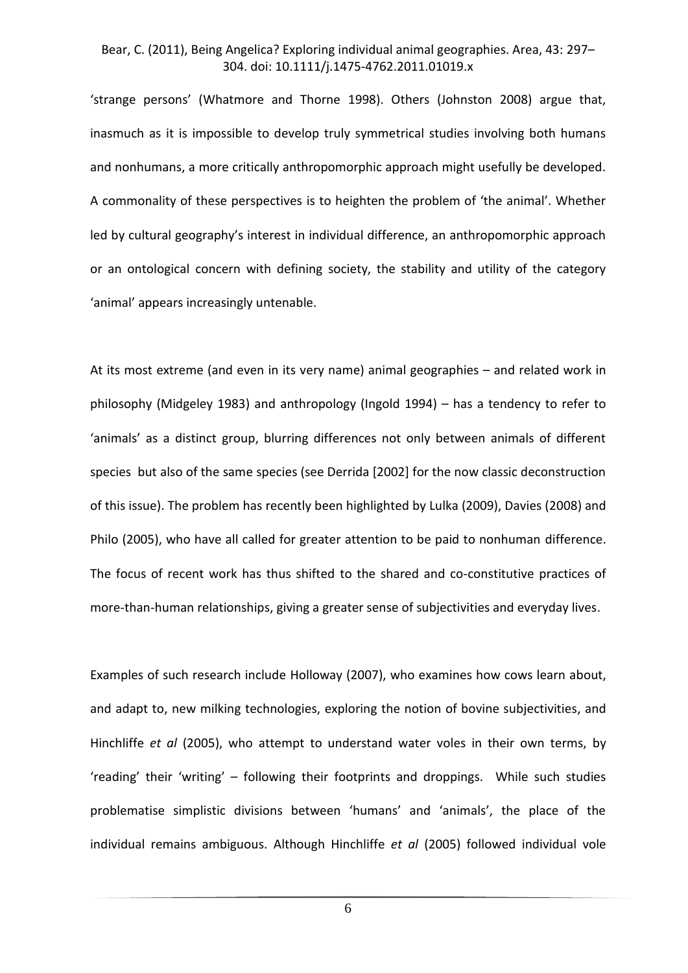'strange persons' (Whatmore and Thorne 1998). Others (Johnston 2008) argue that, inasmuch as it is impossible to develop truly symmetrical studies involving both humans and nonhumans, a more critically anthropomorphic approach might usefully be developed. A commonality of these perspectives is to heighten the problem of 'the animal'. Whether led by cultural geography's interest in individual difference, an anthropomorphic approach or an ontological concern with defining society, the stability and utility of the category 'animal' appears increasingly untenable.

At its most extreme (and even in its very name) animal geographies – and related work in philosophy (Midgeley 1983) and anthropology (Ingold 1994) – has a tendency to refer to 'animals' as a distinct group, blurring differences not only between animals of different species but also of the same species (see Derrida [2002] for the now classic deconstruction of this issue). The problem has recently been highlighted by Lulka (2009), Davies (2008) and Philo (2005), who have all called for greater attention to be paid to nonhuman difference. The focus of recent work has thus shifted to the shared and co-constitutive practices of more-than-human relationships, giving a greater sense of subjectivities and everyday lives.

Examples of such research include Holloway (2007), who examines how cows learn about, and adapt to, new milking technologies, exploring the notion of bovine subjectivities, and Hinchliffe *et al* (2005), who attempt to understand water voles in their own terms, by 'reading' their 'writing' – following their footprints and droppings. While such studies problematise simplistic divisions between 'humans' and 'animals', the place of the individual remains ambiguous. Although Hinchliffe *et al* (2005) followed individual vole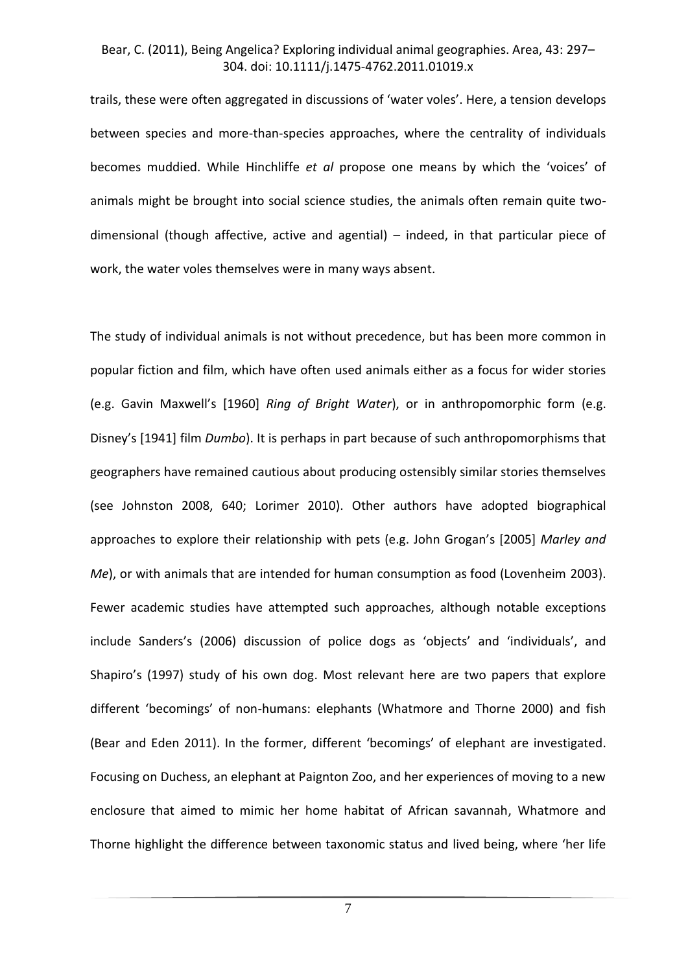trails, these were often aggregated in discussions of 'water voles'. Here, a tension develops between species and more-than-species approaches, where the centrality of individuals becomes muddied. While Hinchliffe *et al* propose one means by which the 'voices' of animals might be brought into social science studies, the animals often remain quite twodimensional (though affective, active and agential) – indeed, in that particular piece of work, the water voles themselves were in many ways absent.

The study of individual animals is not without precedence, but has been more common in popular fiction and film, which have often used animals either as a focus for wider stories (e.g. Gavin Maxwell's [1960] *Ring of Bright Water*), or in anthropomorphic form (e.g. Disney's [1941] film *Dumbo*). It is perhaps in part because of such anthropomorphisms that geographers have remained cautious about producing ostensibly similar stories themselves (see Johnston 2008, 640; Lorimer 2010). Other authors have adopted biographical approaches to explore their relationship with pets (e.g. John Grogan's [2005] *Marley and Me*), or with animals that are intended for human consumption as food (Lovenheim 2003). Fewer academic studies have attempted such approaches, although notable exceptions include Sanders's (2006) discussion of police dogs as 'objects' and 'individuals', and Shapiro's (1997) study of his own dog. Most relevant here are two papers that explore different 'becomings' of non-humans: elephants (Whatmore and Thorne 2000) and fish (Bear and Eden 2011). In the former, different 'becomings' of elephant are investigated. Focusing on Duchess, an elephant at Paignton Zoo, and her experiences of moving to a new enclosure that aimed to mimic her home habitat of African savannah, Whatmore and Thorne highlight the difference between taxonomic status and lived being, where 'her life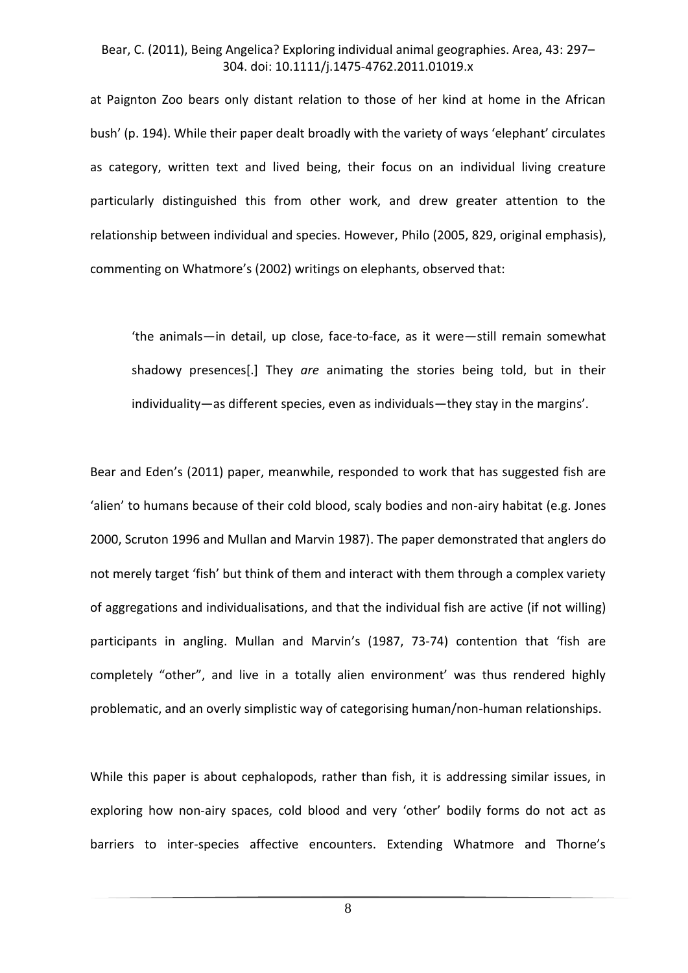at Paignton Zoo bears only distant relation to those of her kind at home in the African bush' (p. 194). While their paper dealt broadly with the variety of ways 'elephant' circulates as category, written text and lived being, their focus on an individual living creature particularly distinguished this from other work, and drew greater attention to the relationship between individual and species. However, Philo (2005, 829, original emphasis), commenting on Whatmore's (2002) writings on elephants, observed that:

'the animals—in detail, up close, face-to-face, as it were—still remain somewhat shadowy presences[.] They *are* animating the stories being told, but in their individuality—as different species, even as individuals—they stay in the margins'.

Bear and Eden's (2011) paper, meanwhile, responded to work that has suggested fish are 'alien' to humans because of their cold blood, scaly bodies and non-airy habitat (e.g. Jones 2000, Scruton 1996 and Mullan and Marvin 1987). The paper demonstrated that anglers do not merely target 'fish' but think of them and interact with them through a complex variety of aggregations and individualisations, and that the individual fish are active (if not willing) participants in angling. Mullan and Marvin's (1987, 73-74) contention that 'fish are completely "other", and live in a totally alien environment' was thus rendered highly problematic, and an overly simplistic way of categorising human/non-human relationships.

While this paper is about cephalopods, rather than fish, it is addressing similar issues, in exploring how non-airy spaces, cold blood and very 'other' bodily forms do not act as barriers to inter-species affective encounters. Extending Whatmore and Thorne's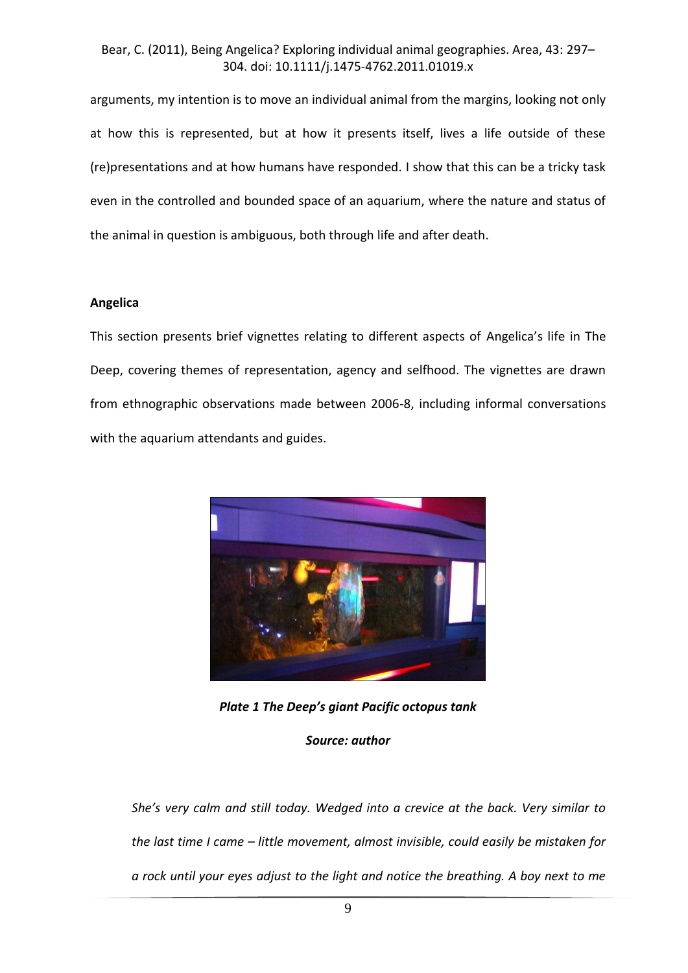arguments, my intention is to move an individual animal from the margins, looking not only at how this is represented, but at how it presents itself, lives a life outside of these (re)presentations and at how humans have responded. I show that this can be a tricky task even in the controlled and bounded space of an aquarium, where the nature and status of the animal in question is ambiguous, both through life and after death.

#### **Angelica**

This section presents brief vignettes relating to different aspects of Angelica's life in The Deep, covering themes of representation, agency and selfhood. The vignettes are drawn from ethnographic observations made between 2006-8, including informal conversations with the aquarium attendants and guides.



*Plate 1 The Deep's giant Pacific octopus tank*

#### *Source: author*

*She's very calm and still today. Wedged into a crevice at the back. Very similar to the last time I came – little movement, almost invisible, could easily be mistaken for a rock until your eyes adjust to the light and notice the breathing. A boy next to me*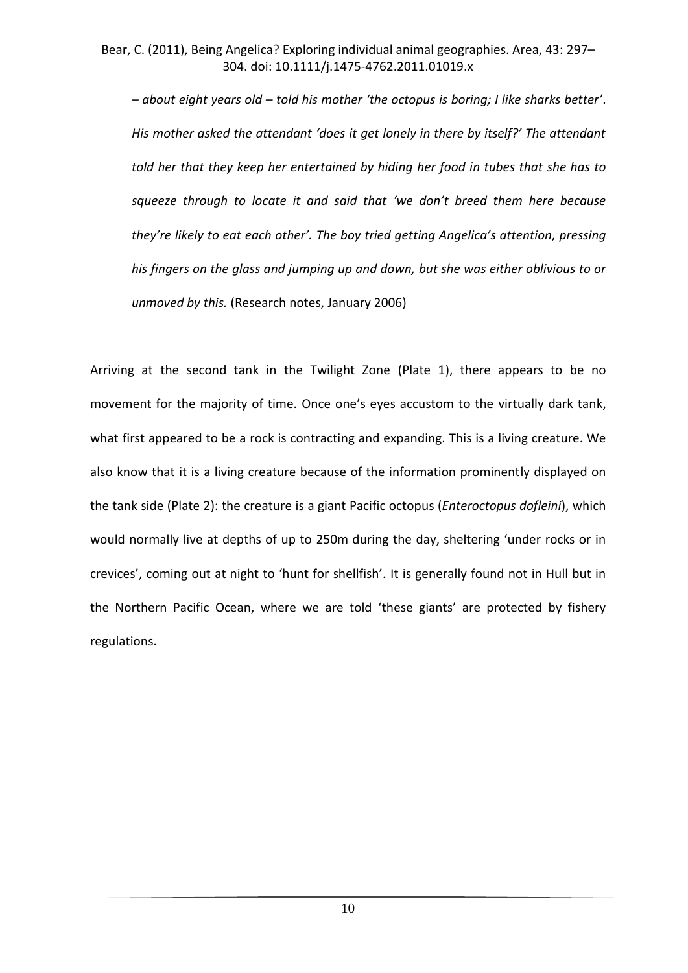*– about eight years old – told his mother 'the octopus is boring; I like sharks better'*. *His mother asked the attendant 'does it get lonely in there by itself?' The attendant told her that they keep her entertained by hiding her food in tubes that she has to squeeze through to locate it and said that 'we don't breed them here because they're likely to eat each other'. The boy tried getting Angelica's attention, pressing his fingers on the glass and jumping up and down, but she was either oblivious to or unmoved by this.* (Research notes, January 2006)

Arriving at the second tank in the Twilight Zone (Plate 1), there appears to be no movement for the majority of time. Once one's eyes accustom to the virtually dark tank, what first appeared to be a rock is contracting and expanding. This is a living creature. We also know that it is a living creature because of the information prominently displayed on the tank side (Plate 2): the creature is a giant Pacific octopus (*Enteroctopus dofleini*), which would normally live at depths of up to 250m during the day, sheltering 'under rocks or in crevices', coming out at night to 'hunt for shellfish'. It is generally found not in Hull but in the Northern Pacific Ocean, where we are told 'these giants' are protected by fishery regulations.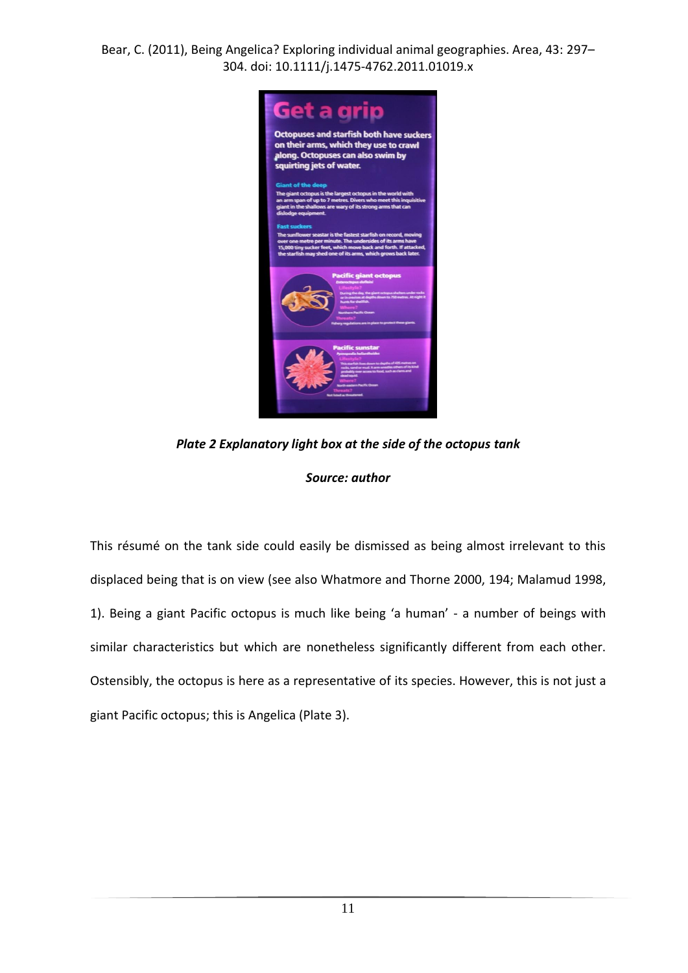

*Plate 2 Explanatory light box at the side of the octopus tank*

### *Source: author*

This résumé on the tank side could easily be dismissed as being almost irrelevant to this displaced being that is on view (see also Whatmore and Thorne 2000, 194; Malamud 1998, 1). Being a giant Pacific octopus is much like being 'a human' - a number of beings with similar characteristics but which are nonetheless significantly different from each other. Ostensibly, the octopus is here as a representative of its species. However, this is not just a giant Pacific octopus; this is Angelica (Plate 3).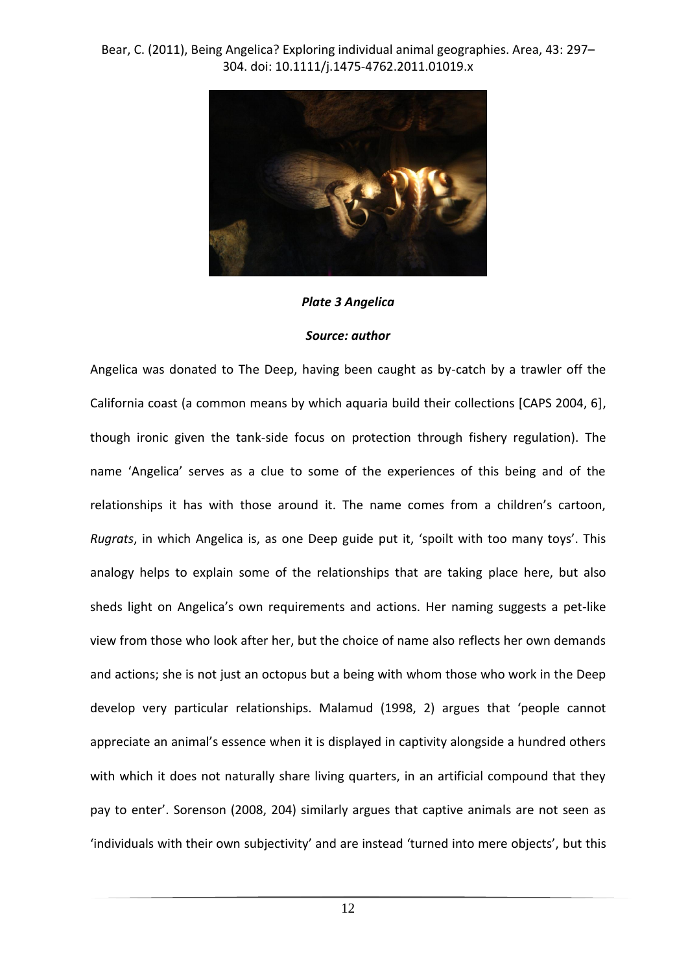

#### *Plate 3 Angelica*

#### *Source: author*

Angelica was donated to The Deep, having been caught as by-catch by a trawler off the California coast (a common means by which aquaria build their collections [CAPS 2004, 6], though ironic given the tank-side focus on protection through fishery regulation). The name 'Angelica' serves as a clue to some of the experiences of this being and of the relationships it has with those around it. The name comes from a children's cartoon, *Rugrats*, in which Angelica is, as one Deep guide put it, 'spoilt with too many toys'. This analogy helps to explain some of the relationships that are taking place here, but also sheds light on Angelica's own requirements and actions. Her naming suggests a pet-like view from those who look after her, but the choice of name also reflects her own demands and actions; she is not just an octopus but a being with whom those who work in the Deep develop very particular relationships. Malamud (1998, 2) argues that 'people cannot appreciate an animal's essence when it is displayed in captivity alongside a hundred others with which it does not naturally share living quarters, in an artificial compound that they pay to enter'. Sorenson (2008, 204) similarly argues that captive animals are not seen as 'individuals with their own subjectivity' and are instead 'turned into mere objects', but this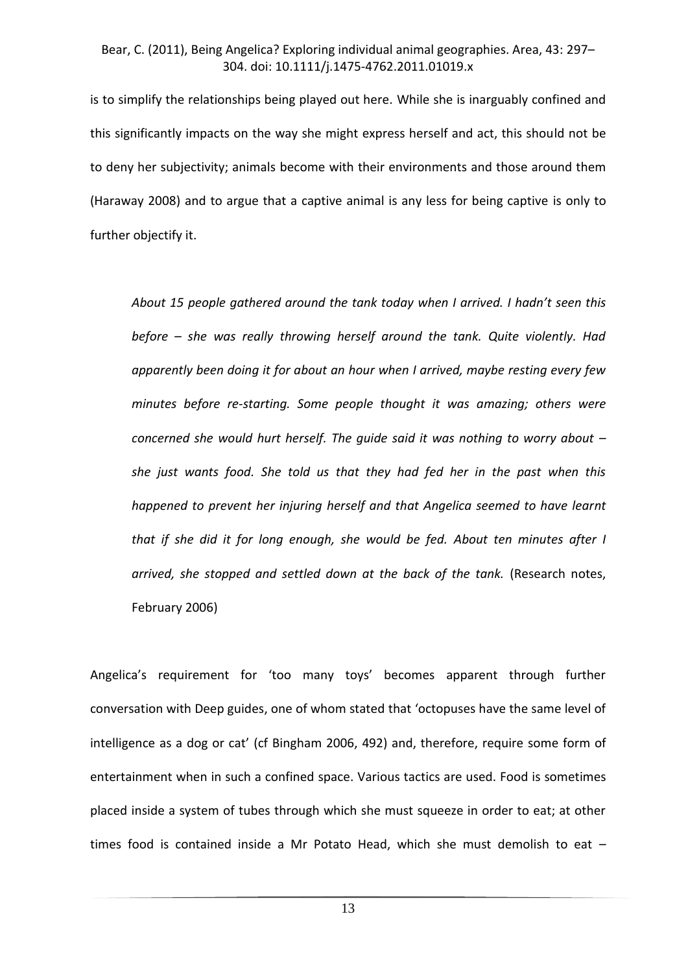is to simplify the relationships being played out here. While she is inarguably confined and this significantly impacts on the way she might express herself and act, this should not be to deny her subjectivity; animals become with their environments and those around them (Haraway 2008) and to argue that a captive animal is any less for being captive is only to further objectify it.

*About 15 people gathered around the tank today when I arrived. I hadn't seen this before – she was really throwing herself around the tank. Quite violently. Had apparently been doing it for about an hour when I arrived, maybe resting every few minutes before re-starting. Some people thought it was amazing; others were concerned she would hurt herself. The quide said it was nothing to worry about – she just wants food. She told us that they had fed her in the past when this happened to prevent her injuring herself and that Angelica seemed to have learnt that if she did it for long enough, she would be fed. About ten minutes after I arrived, she stopped and settled down at the back of the tank.* (Research notes, February 2006)

Angelica's requirement for 'too many toys' becomes apparent through further conversation with Deep guides, one of whom stated that 'octopuses have the same level of intelligence as a dog or cat' (cf Bingham 2006, 492) and, therefore, require some form of entertainment when in such a confined space. Various tactics are used. Food is sometimes placed inside a system of tubes through which she must squeeze in order to eat; at other times food is contained inside a Mr Potato Head, which she must demolish to eat –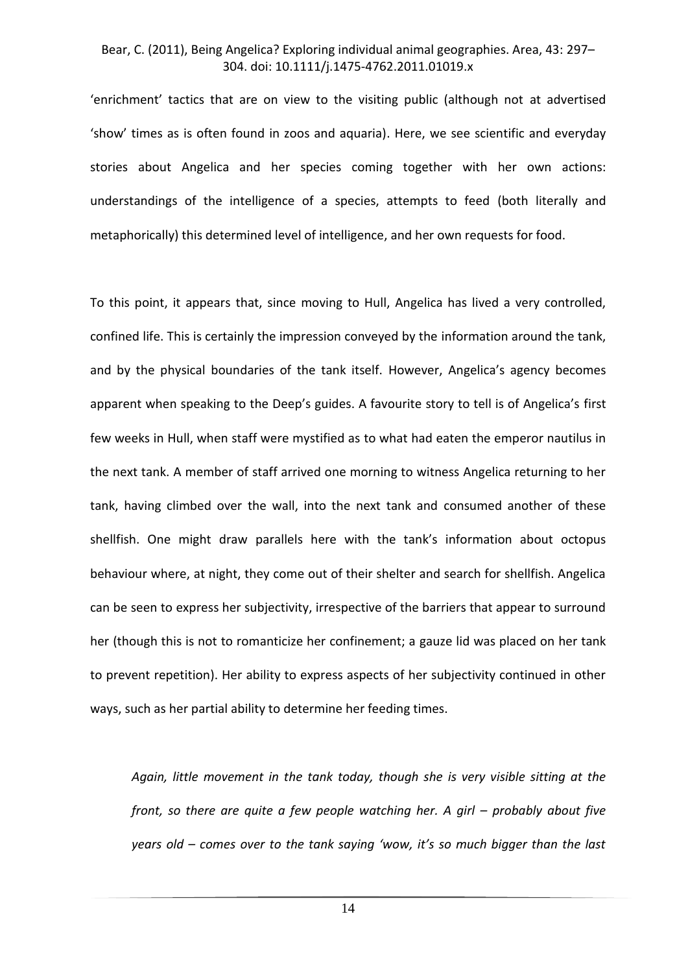'enrichment' tactics that are on view to the visiting public (although not at advertised 'show' times as is often found in zoos and aquaria). Here, we see scientific and everyday stories about Angelica and her species coming together with her own actions: understandings of the intelligence of a species, attempts to feed (both literally and metaphorically) this determined level of intelligence, and her own requests for food.

To this point, it appears that, since moving to Hull, Angelica has lived a very controlled, confined life. This is certainly the impression conveyed by the information around the tank, and by the physical boundaries of the tank itself. However, Angelica's agency becomes apparent when speaking to the Deep's guides. A favourite story to tell is of Angelica's first few weeks in Hull, when staff were mystified as to what had eaten the emperor nautilus in the next tank. A member of staff arrived one morning to witness Angelica returning to her tank, having climbed over the wall, into the next tank and consumed another of these shellfish. One might draw parallels here with the tank's information about octopus behaviour where, at night, they come out of their shelter and search for shellfish. Angelica can be seen to express her subjectivity, irrespective of the barriers that appear to surround her (though this is not to romanticize her confinement; a gauze lid was placed on her tank to prevent repetition). Her ability to express aspects of her subjectivity continued in other ways, such as her partial ability to determine her feeding times.

*Again, little movement in the tank today, though she is very visible sitting at the front, so there are quite a few people watching her. A girl – probably about five years old – comes over to the tank saying 'wow, it's so much bigger than the last*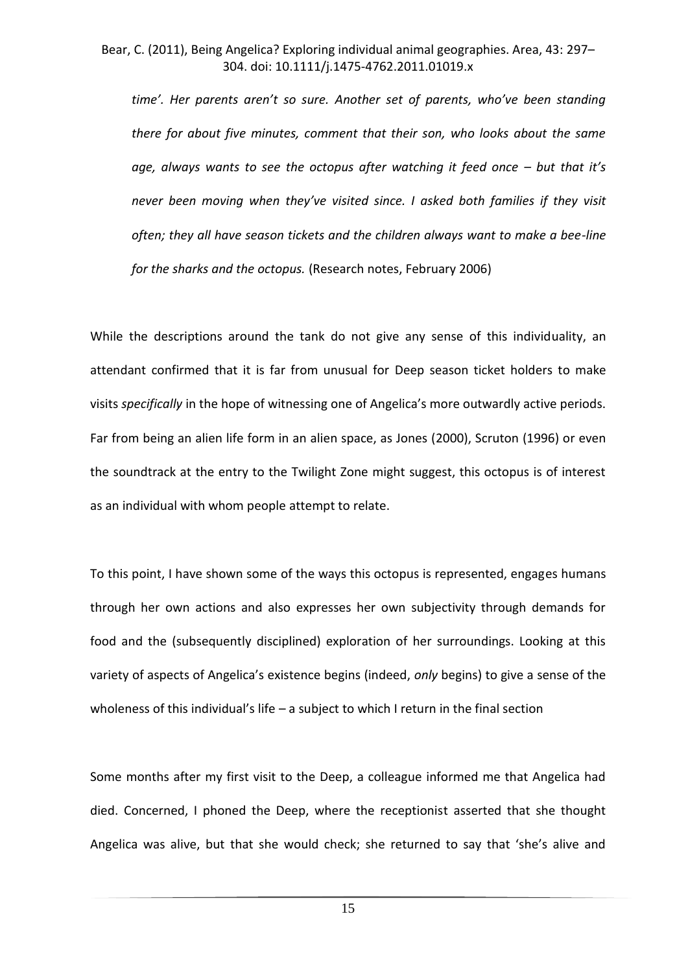*time'. Her parents aren't so sure. Another set of parents, who've been standing there for about five minutes, comment that their son, who looks about the same age, always wants to see the octopus after watching it feed once – but that it's never been moving when they've visited since. I asked both families if they visit often; they all have season tickets and the children always want to make a bee-line for the sharks and the octopus.* (Research notes, February 2006)

While the descriptions around the tank do not give any sense of this individuality, an attendant confirmed that it is far from unusual for Deep season ticket holders to make visits *specifically* in the hope of witnessing one of Angelica's more outwardly active periods. Far from being an alien life form in an alien space, as Jones (2000), Scruton (1996) or even the soundtrack at the entry to the Twilight Zone might suggest, this octopus is of interest as an individual with whom people attempt to relate.

To this point, I have shown some of the ways this octopus is represented, engages humans through her own actions and also expresses her own subjectivity through demands for food and the (subsequently disciplined) exploration of her surroundings. Looking at this variety of aspects of Angelica's existence begins (indeed, *only* begins) to give a sense of the wholeness of this individual's life – a subject to which I return in the final section

Some months after my first visit to the Deep, a colleague informed me that Angelica had died. Concerned, I phoned the Deep, where the receptionist asserted that she thought Angelica was alive, but that she would check; she returned to say that 'she's alive and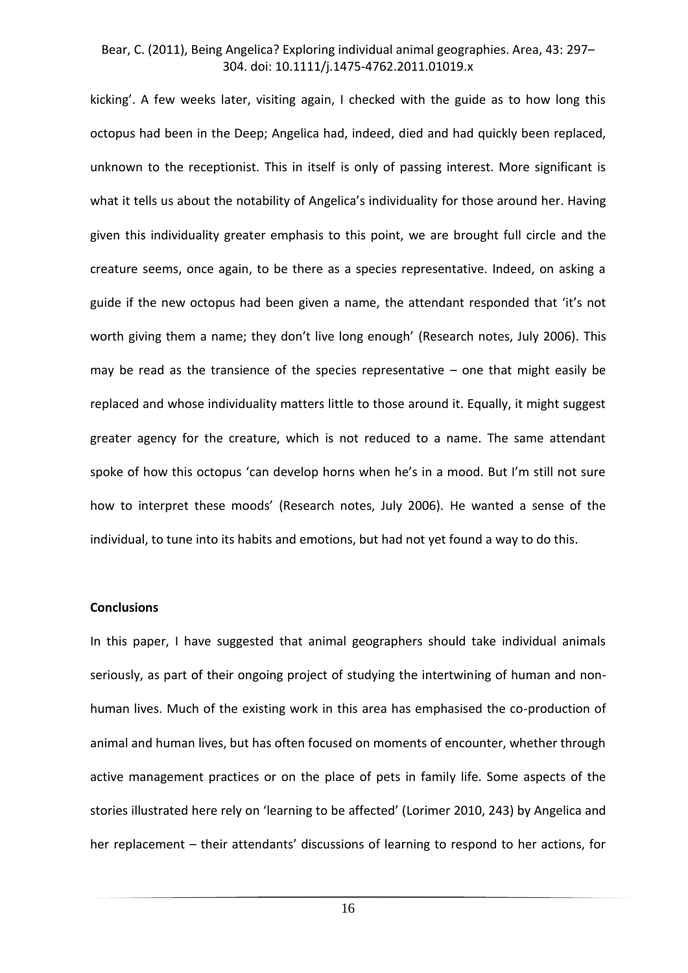kicking'. A few weeks later, visiting again, I checked with the guide as to how long this octopus had been in the Deep; Angelica had, indeed, died and had quickly been replaced, unknown to the receptionist. This in itself is only of passing interest. More significant is what it tells us about the notability of Angelica's individuality for those around her. Having given this individuality greater emphasis to this point, we are brought full circle and the creature seems, once again, to be there as a species representative. Indeed, on asking a guide if the new octopus had been given a name, the attendant responded that 'it's not worth giving them a name; they don't live long enough' (Research notes, July 2006). This may be read as the transience of the species representative  $-$  one that might easily be replaced and whose individuality matters little to those around it. Equally, it might suggest greater agency for the creature, which is not reduced to a name. The same attendant spoke of how this octopus 'can develop horns when he's in a mood. But I'm still not sure how to interpret these moods' (Research notes, July 2006). He wanted a sense of the individual, to tune into its habits and emotions, but had not yet found a way to do this.

#### **Conclusions**

In this paper, I have suggested that animal geographers should take individual animals seriously, as part of their ongoing project of studying the intertwining of human and nonhuman lives. Much of the existing work in this area has emphasised the co-production of animal and human lives, but has often focused on moments of encounter, whether through active management practices or on the place of pets in family life. Some aspects of the stories illustrated here rely on 'learning to be affected' (Lorimer 2010, 243) by Angelica and her replacement – their attendants' discussions of learning to respond to her actions, for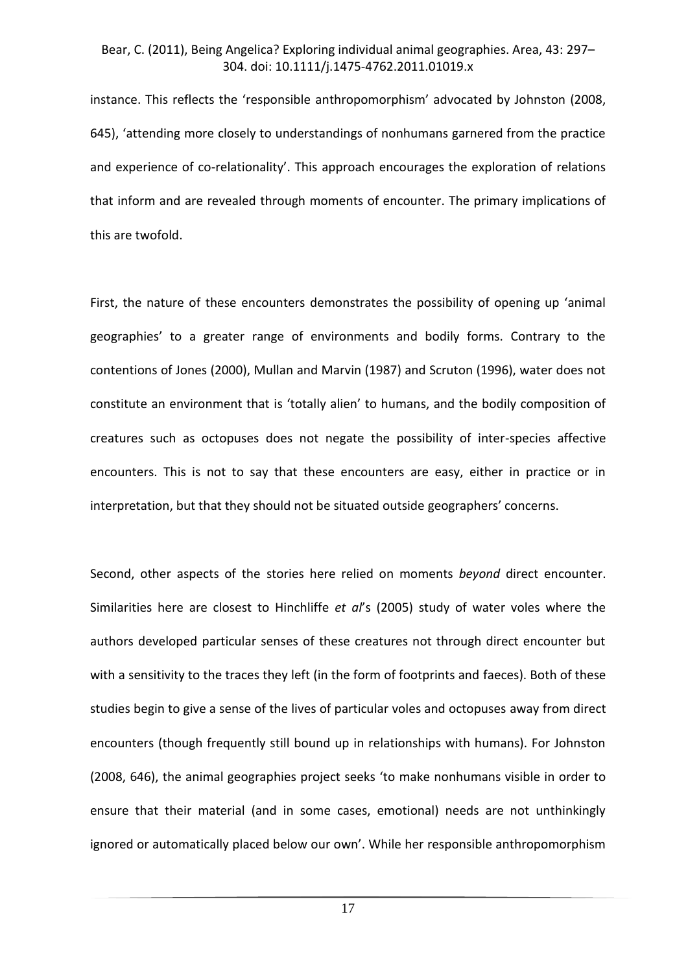instance. This reflects the 'responsible anthropomorphism' advocated by Johnston (2008, 645), 'attending more closely to understandings of nonhumans garnered from the practice and experience of co-relationality'. This approach encourages the exploration of relations that inform and are revealed through moments of encounter. The primary implications of this are twofold.

First, the nature of these encounters demonstrates the possibility of opening up 'animal geographies' to a greater range of environments and bodily forms. Contrary to the contentions of Jones (2000), Mullan and Marvin (1987) and Scruton (1996), water does not constitute an environment that is 'totally alien' to humans, and the bodily composition of creatures such as octopuses does not negate the possibility of inter-species affective encounters. This is not to say that these encounters are easy, either in practice or in interpretation, but that they should not be situated outside geographers' concerns.

Second, other aspects of the stories here relied on moments *beyond* direct encounter. Similarities here are closest to Hinchliffe *et al*'s (2005) study of water voles where the authors developed particular senses of these creatures not through direct encounter but with a sensitivity to the traces they left (in the form of footprints and faeces). Both of these studies begin to give a sense of the lives of particular voles and octopuses away from direct encounters (though frequently still bound up in relationships with humans). For Johnston (2008, 646), the animal geographies project seeks 'to make nonhumans visible in order to ensure that their material (and in some cases, emotional) needs are not unthinkingly ignored or automatically placed below our own'. While her responsible anthropomorphism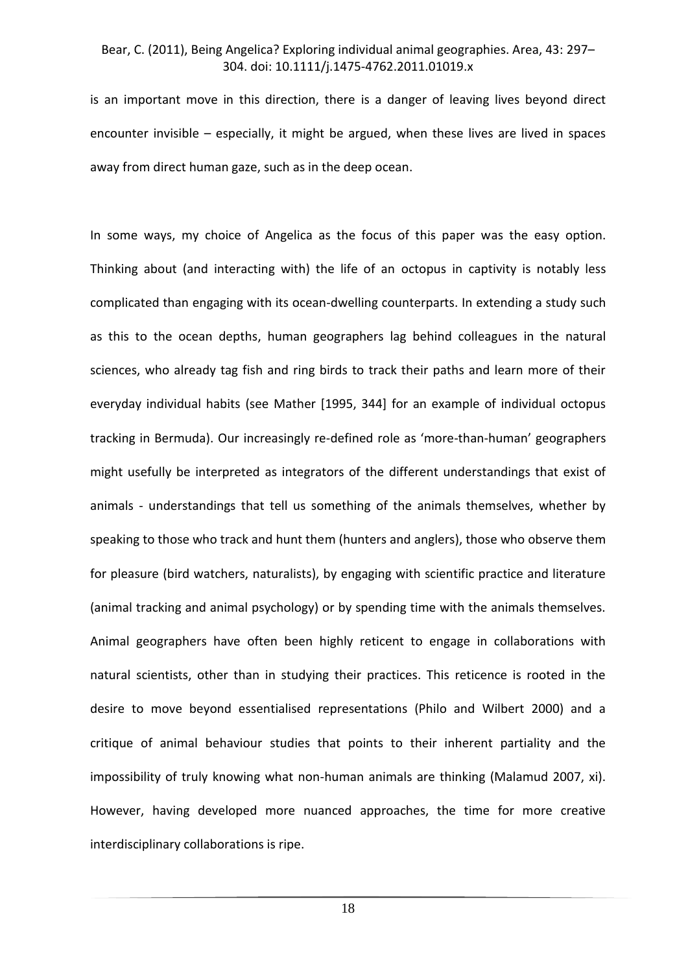is an important move in this direction, there is a danger of leaving lives beyond direct encounter invisible – especially, it might be argued, when these lives are lived in spaces away from direct human gaze, such as in the deep ocean.

In some ways, my choice of Angelica as the focus of this paper was the easy option. Thinking about (and interacting with) the life of an octopus in captivity is notably less complicated than engaging with its ocean-dwelling counterparts. In extending a study such as this to the ocean depths, human geographers lag behind colleagues in the natural sciences, who already tag fish and ring birds to track their paths and learn more of their everyday individual habits (see Mather [1995, 344] for an example of individual octopus tracking in Bermuda). Our increasingly re-defined role as 'more-than-human' geographers might usefully be interpreted as integrators of the different understandings that exist of animals - understandings that tell us something of the animals themselves, whether by speaking to those who track and hunt them (hunters and anglers), those who observe them for pleasure (bird watchers, naturalists), by engaging with scientific practice and literature (animal tracking and animal psychology) or by spending time with the animals themselves. Animal geographers have often been highly reticent to engage in collaborations with natural scientists, other than in studying their practices. This reticence is rooted in the desire to move beyond essentialised representations (Philo and Wilbert 2000) and a critique of animal behaviour studies that points to their inherent partiality and the impossibility of truly knowing what non-human animals are thinking (Malamud 2007, xi). However, having developed more nuanced approaches, the time for more creative interdisciplinary collaborations is ripe.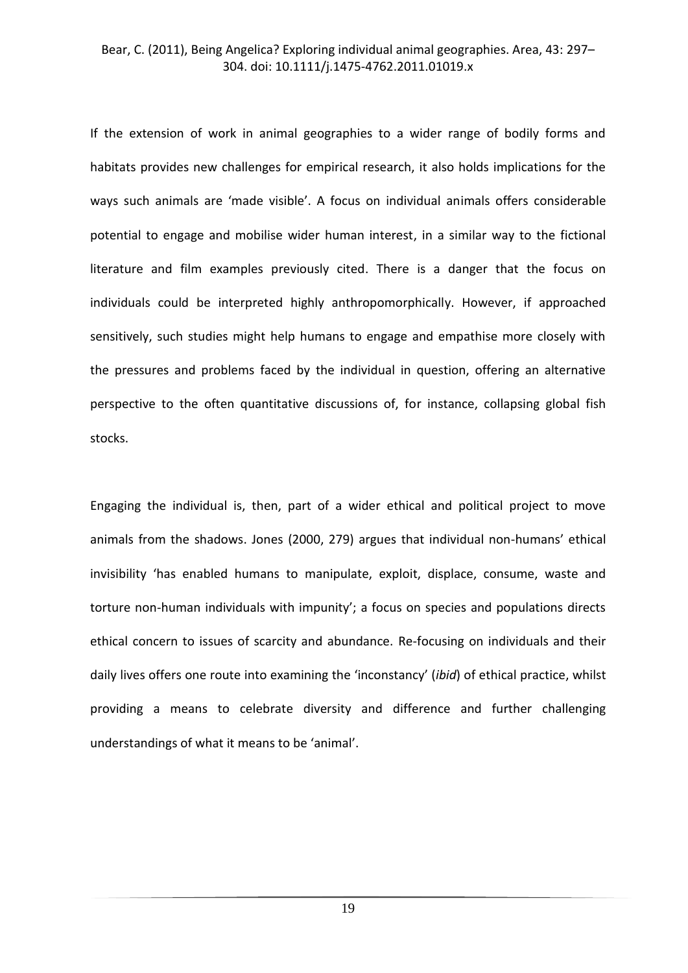If the extension of work in animal geographies to a wider range of bodily forms and habitats provides new challenges for empirical research, it also holds implications for the ways such animals are 'made visible'. A focus on individual animals offers considerable potential to engage and mobilise wider human interest, in a similar way to the fictional literature and film examples previously cited. There is a danger that the focus on individuals could be interpreted highly anthropomorphically. However, if approached sensitively, such studies might help humans to engage and empathise more closely with the pressures and problems faced by the individual in question, offering an alternative perspective to the often quantitative discussions of, for instance, collapsing global fish stocks.

Engaging the individual is, then, part of a wider ethical and political project to move animals from the shadows. Jones (2000, 279) argues that individual non-humans' ethical invisibility 'has enabled humans to manipulate, exploit, displace, consume, waste and torture non-human individuals with impunity'; a focus on species and populations directs ethical concern to issues of scarcity and abundance. Re-focusing on individuals and their daily lives offers one route into examining the 'inconstancy' (*ibid*) of ethical practice, whilst providing a means to celebrate diversity and difference and further challenging understandings of what it means to be 'animal'.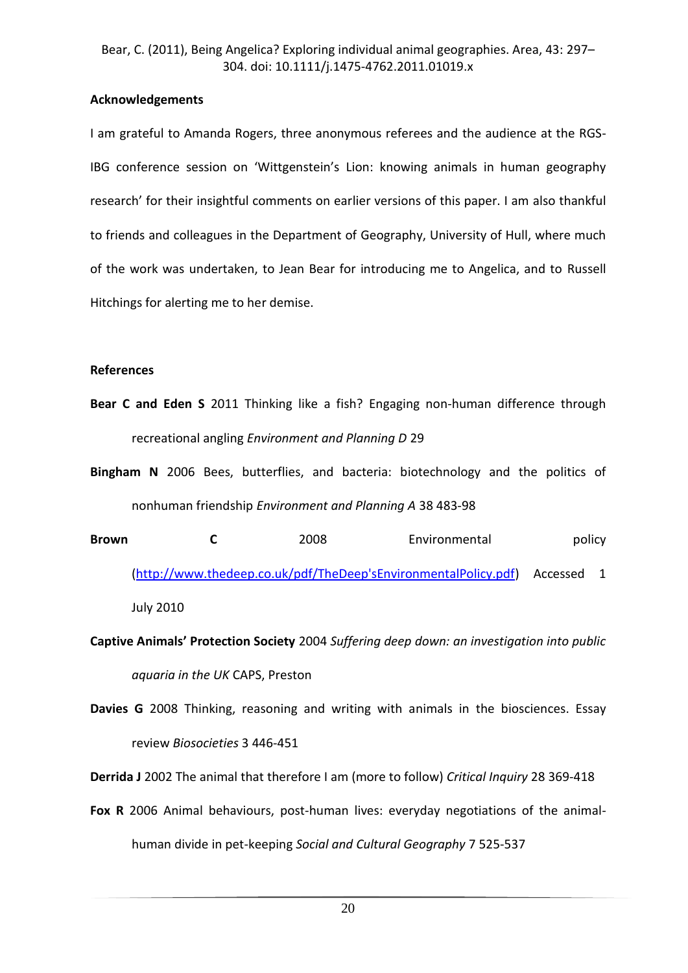# **Acknowledgements**

I am grateful to Amanda Rogers, three anonymous referees and the audience at the RGS-IBG conference session on 'Wittgenstein's Lion: knowing animals in human geography research' for their insightful comments on earlier versions of this paper. I am also thankful to friends and colleagues in the Department of Geography, University of Hull, where much of the work was undertaken, to Jean Bear for introducing me to Angelica, and to Russell Hitchings for alerting me to her demise.

# **References**

- **Bear C and Eden S** 2011 Thinking like a fish? Engaging non-human difference through recreational angling *Environment and Planning D* 29
- **Bingham N** 2006 Bees, butterflies, and bacteria: biotechnology and the politics of nonhuman friendship *Environment and Planning A* 38 483-98
- **Brown C** 2008 Environmental policy [\(http://www.thedeep.co.uk/pdf/TheDeep'sEnvironmentalPolicy.pdf\)](http://www.thedeep.co.uk/pdf/TheDeep) Accessed 1 July 2010
- **Captive Animals' Protection Society** 2004 *Suffering deep down: an investigation into public aquaria in the UK* CAPS, Preston
- **Davies G** 2008 Thinking, reasoning and writing with animals in the biosciences. Essay review *Biosocieties* 3 446-451

**Derrida J** 2002 The animal that therefore I am (more to follow) *Critical Inquiry* 28 369-418

**Fox R** 2006 Animal behaviours, post-human lives: everyday negotiations of the animalhuman divide in pet-keeping *Social and Cultural Geography* 7 525-537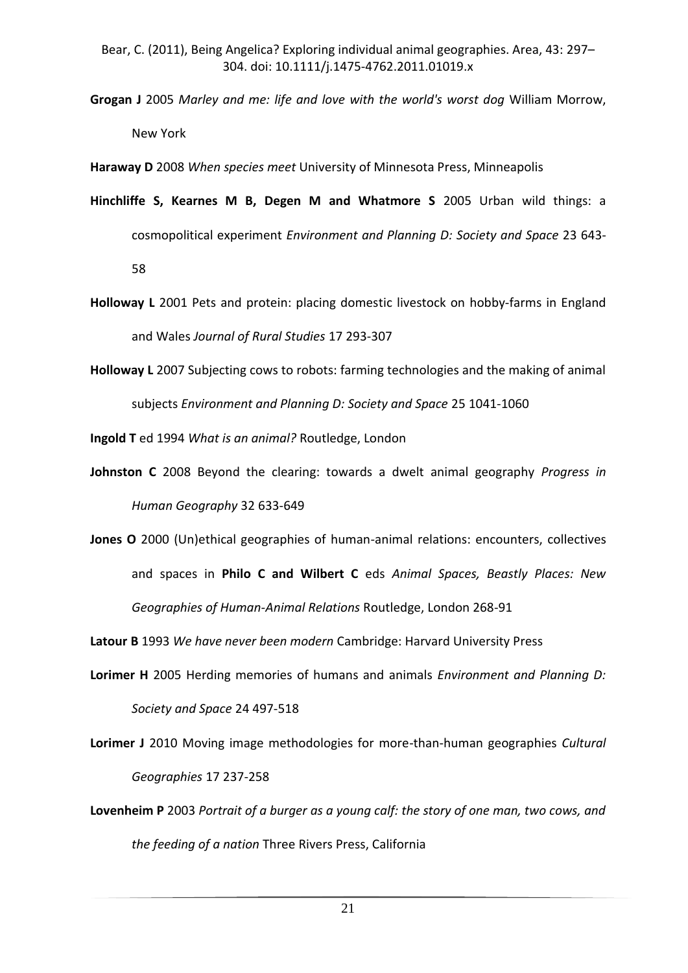**Grogan J** 2005 *Marley and me: life and love with the world's worst dog* William Morrow, New York

**Haraway D** 2008 *When species meet* University of Minnesota Press, Minneapolis

- **Hinchliffe S, Kearnes M B, Degen M and Whatmore S** 2005 Urban wild things: a cosmopolitical experiment *Environment and Planning D: Society and Space* 23 643- 58
- **Holloway L** 2001 Pets and protein: placing domestic livestock on hobby-farms in England and Wales *Journal of Rural Studies* 17 293-307
- **Holloway L** 2007 Subjecting cows to robots: farming technologies and the making of animal subjects *Environment and Planning D: Society and Space* 25 1041-1060

**Ingold T** ed 1994 *What is an animal?* Routledge, London

- **Johnston C** 2008 Beyond the clearing: towards a dwelt animal geography *Progress in Human Geography* 32 633-649
- **Jones O** 2000 (Un)ethical geographies of human-animal relations: encounters, collectives and spaces in **Philo C and Wilbert C** eds *Animal Spaces, Beastly Places: New Geographies of Human-Animal Relations* Routledge, London 268-91

**Latour B** 1993 *We have never been modern* Cambridge: Harvard University Press

- **Lorimer H** 2005 Herding memories of humans and animals *Environment and Planning D: Society and Space* 24 497-518
- **Lorimer J** 2010 Moving image methodologies for more-than-human geographies *Cultural Geographies* 17 237-258
- **Lovenheim P** 2003 *Portrait of a burger as a young calf: the story of one man, two cows, and the feeding of a nation* Three Rivers Press, California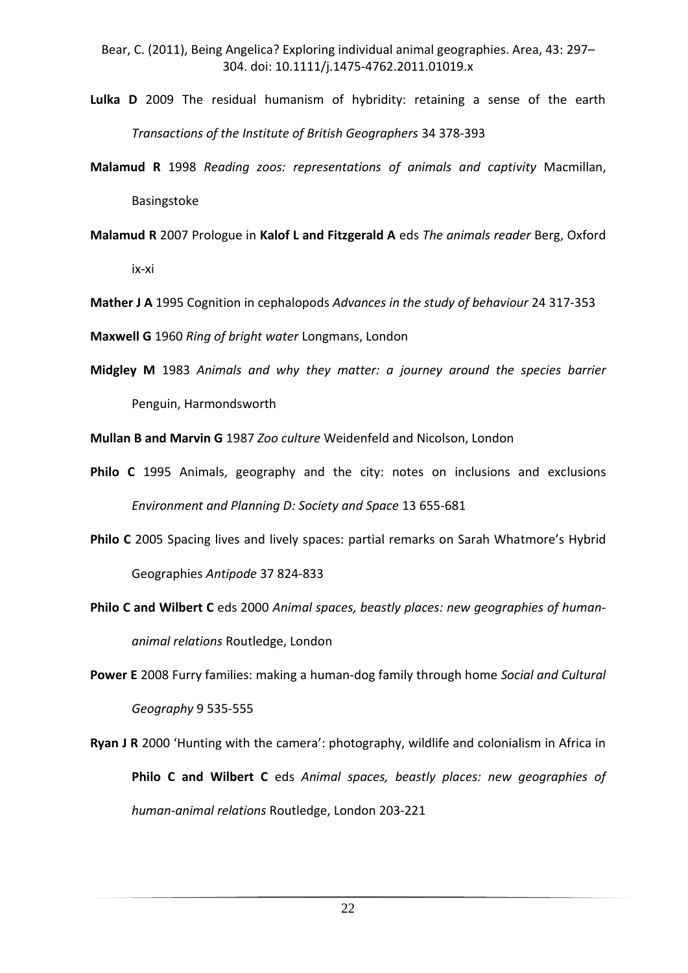- **Lulka D** 2009 The residual humanism of hybridity: retaining a sense of the earth *Transactions of the Institute of British Geographers* 34 378-393
- **Malamud R** 1998 *Reading zoos: representations of animals and captivity* Macmillan, Basingstoke
- **Malamud R** 2007 Prologue in **Kalof L and Fitzgerald A** eds *The animals reader* Berg, Oxford ix-xi

**Mather J A** 1995 Cognition in cephalopods *Advances in the study of behaviour* 24 317-353

**Maxwell G** 1960 *Ring of bright water* Longmans, London

**Midgley M** 1983 *Animals and why they matter: a journey around the species barrier* Penguin, Harmondsworth

**Mullan B and Marvin G** 1987 *Zoo culture* Weidenfeld and Nicolson, London

- **Philo C** 1995 Animals, geography and the city: notes on inclusions and exclusions *Environment and Planning D: Society and Space* 13 655-681
- **Philo C** 2005 Spacing lives and lively spaces: partial remarks on Sarah Whatmore's Hybrid Geographies *Antipode* 37 824-833
- **Philo C and Wilbert C** eds 2000 *Animal spaces, beastly places: new geographies of humananimal relations* Routledge, London
- **Power E** 2008 Furry families: making a human-dog family through home *Social and Cultural Geography* 9 535-555
- **Ryan J R** 2000 'Hunting with the camera': photography, wildlife and colonialism in Africa in **Philo C and Wilbert C** eds *Animal spaces, beastly places: new geographies of human-animal relations* Routledge, London 203-221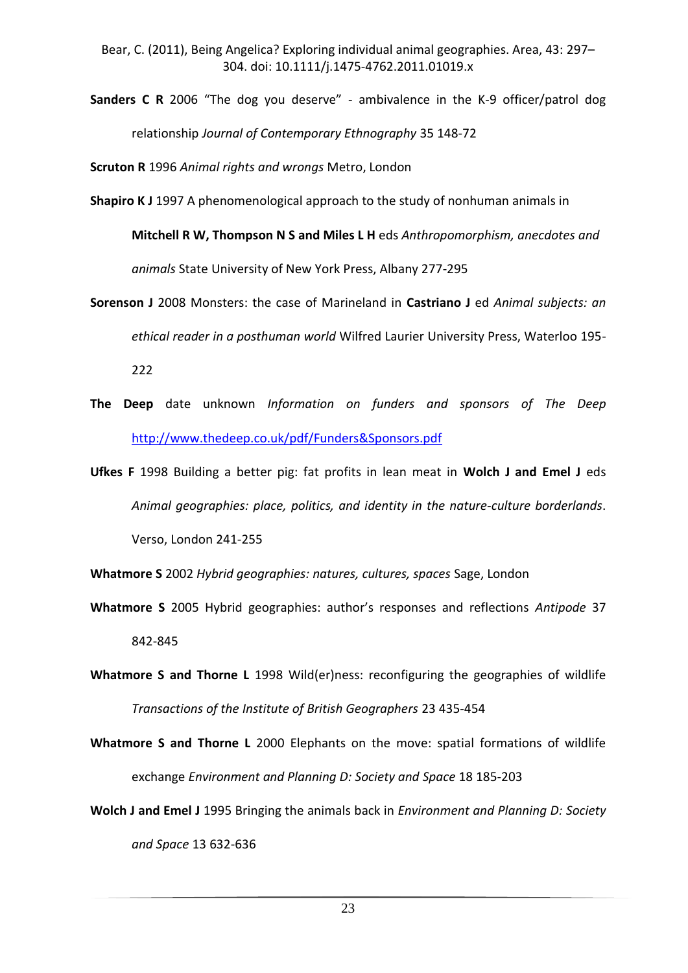**Sanders C R** 2006 "The dog you deserve" - ambivalence in the K-9 officer/patrol dog relationship *Journal of Contemporary Ethnography* 35 148-72

**Scruton R** 1996 *Animal rights and wrongs* Metro, London

**Shapiro K J** 1997 A phenomenological approach to the study of nonhuman animals in

**Mitchell R W, Thompson N S and Miles L H** eds *Anthropomorphism, anecdotes and animals* State University of New York Press, Albany 277-295

- **Sorenson J** 2008 Monsters: the case of Marineland in **Castriano J** ed *Animal subjects: an ethical reader in a posthuman world* Wilfred Laurier University Press, Waterloo 195- 222
- **The Deep** date unknown *Information on funders and sponsors of The Deep* <http://www.thedeep.co.uk/pdf/Funders&Sponsors.pdf>
- **Ufkes F** 1998 Building a better pig: fat profits in lean meat in **Wolch J and Emel J** eds *Animal geographies: place, politics, and identity in the nature-culture borderlands*. Verso, London 241-255

**Whatmore S** 2002 *Hybrid geographies: natures, cultures, spaces* Sage, London

- **Whatmore S** 2005 Hybrid geographies: author's responses and reflections *Antipode* 37 842-845
- **Whatmore S and Thorne L** 1998 Wild(er)ness: reconfiguring the geographies of wildlife *Transactions of the Institute of British Geographers* 23 435-454

**Whatmore S and Thorne L** 2000 Elephants on the move: spatial formations of wildlife exchange *Environment and Planning D: Society and Space* 18 185-203

**Wolch J and Emel J** 1995 Bringing the animals back in *Environment and Planning D: Society and Space* 13 632-636